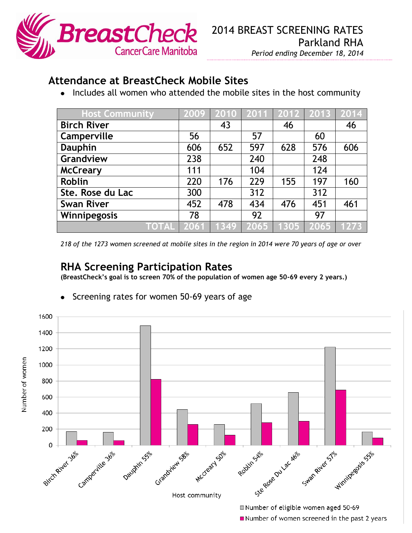

## **Attendance at BreastCheck Mobile Sites**

• Includes all women who attended the mobile sites in the host community

| <b>Host Community</b> | 2009 | 2010 |      | 2011 2012 2013 |      |      |
|-----------------------|------|------|------|----------------|------|------|
| <b>Birch River</b>    |      | 43   |      | 46             |      | 46   |
| Camperville           | 56   |      | 57   |                | 60   |      |
| <b>Dauphin</b>        | 606  | 652  | 597  | 628            | 576  | 606  |
| Grandview             | 238  |      | 240  |                | 248  |      |
| <b>McCreary</b>       | 111  |      | 104  |                | 124  |      |
| <b>Roblin</b>         | 220  | 176  | 229  | 155            | 197  | 160  |
| Ste. Rose du Lac      | 300  |      | 312  |                | 312  |      |
| <b>Swan River</b>     | 452  | 478  | 434  | 476            | 451  | 461  |
| Winnipegosis          | 78   |      | 92   |                | 97   |      |
| <b>TOTAL</b>          | 2061 | 1349 | 2065 | 1305           | 2065 | 1273 |

*218 of the 1273 women screened at mobile sites in the region in 2014 were 70 years of age or over*

## **RHA Screening Participation Rates**

**(BreastCheck's goal is to screen 70% of the population of women age 50-69 every 2 years.)**



Screening rates for women 50-69 years of age